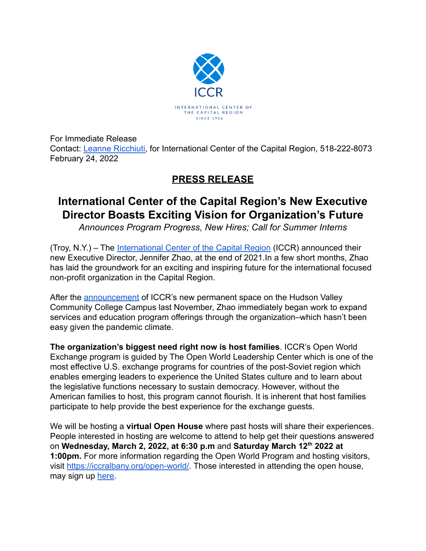

For Immediate Release Contact: [Leanne Ricchiuti,](mailto:leanne.ricchiuti@gmail.com) for International Center of the Capital Region, 518-222-8073 February 24, 2022

## **PRESS RELEASE**

## **International Center of the Capital Region's New Executive Director Boasts Exciting Vision for Organization's Future**

*Announces Program Progress, New Hires; Call for Summer Interns*

(Troy, N.Y.) – The [International Center of the Capital](https://iccralbany.org/) Region (ICCR) announced their new Executive Director, Jennifer Zhao, at the end of 2021.In a few short months, Zhao has laid the groundwork for an exciting and inspiring future for the international focused non-profit organization in the Capital Region.

After the [announcement](https://hvcc.edu/about/news/archives/2021/11/international-center-of-the-capital-region-celebrates-grand-reopening-on-hudson-valley-community-college-campus.html) of ICCR's new permanent space on the Hudson Valley Community College Campus last November, Zhao immediately began work to expand services and education program offerings through the organization–which hasn't been easy given the pandemic climate.

**The organization's biggest need right now is host families**. ICCR's Open World Exchange program is guided by The Open World Leadership Center which is one of the most effective U.S. exchange programs for countries of the post-Soviet region which enables emerging leaders to experience the United States culture and to learn about the legislative functions necessary to sustain democracy. However, without the American families to host, this program cannot flourish. It is inherent that host families participate to help provide the best experience for the exchange guests.

We will be hosting a **virtual Open House** where past hosts will share their experiences. People interested in hosting are welcome to attend to help get their questions answered on **Wednesday, March 2, 2022, at 6:30 p.m** and **Saturday March 12th 2022 at 1:00pm.** For more information regarding the Open World Program and hosting visitors, visit [https://iccralbany.org/open-world/.](https://iccralbany.org/open-world/) Those interested in attending the open house, may sign up [here](https://forms.gle/pSCniUkf8cTYjwki6).